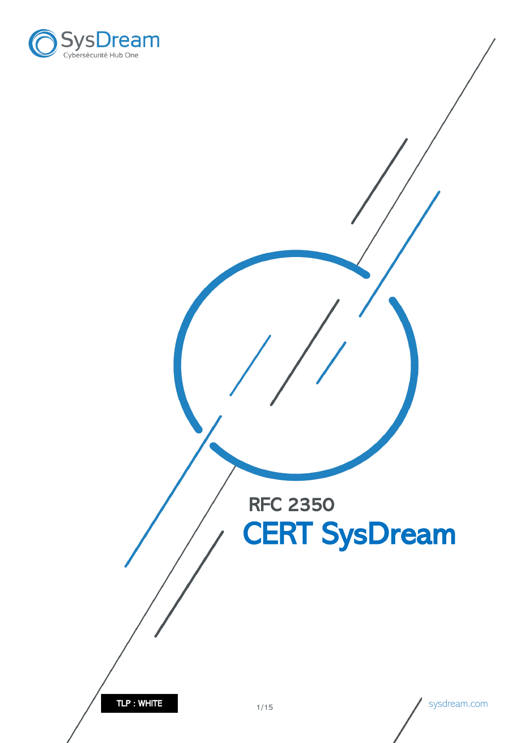

RFC 2350 CERT SysDream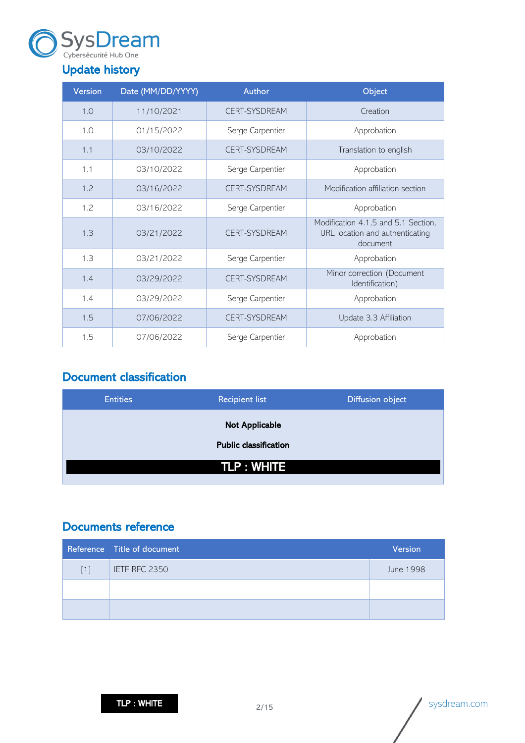

## <span id="page-1-0"></span>Update history

| <b>Version</b> | Date (MM/DD/YYYY) | <b>Author</b>        | Object                                                                             |
|----------------|-------------------|----------------------|------------------------------------------------------------------------------------|
| 1.0            | 11/10/2021        | <b>CERT-SYSDREAM</b> | Creation                                                                           |
| 1.0            | 01/15/2022        | Serge Carpentier     | Approbation                                                                        |
| 1.1            | 03/10/2022        | <b>CERT-SYSDREAM</b> | Translation to english                                                             |
| 1.1            | 03/10/2022        | Serge Carpentier     | Approbation                                                                        |
| 1.2            | 03/16/2022        | <b>CERT-SYSDREAM</b> | Modification affiliation section                                                   |
| 1.2            | 03/16/2022        | Serge Carpentier     | Approbation                                                                        |
| 1.3            | 03/21/2022        | <b>CERT-SYSDREAM</b> | Modification 4.1,5 and 5.1 Section,<br>URL location and authenticating<br>document |
| 1.3            | 03/21/2022        | Serge Carpentier     | Approbation                                                                        |
| 1.4            | 03/29/2022        | <b>CERT-SYSDREAM</b> | Minor correction (Document<br>Identification)                                      |
| 1.4            | 03/29/2022        | Serge Carpentier     | Approbation                                                                        |
| 1.5            | 07/06/2022        | <b>CERT-SYSDREAM</b> | Update 3.3 Affiliation                                                             |
| 1.5            | 07/06/2022        | Serge Carpentier     | Approbation                                                                        |

## <span id="page-1-1"></span>Document classification

| <b>Entities</b> | <b>Recipient list</b>        | <b>Diffusion object</b> |
|-----------------|------------------------------|-------------------------|
|                 | Not Applicable               |                         |
|                 | <b>Public classification</b> |                         |
|                 | <b>TLP: WHITE</b>            |                         |

## <span id="page-1-2"></span>Documents reference

|     | Reference Title of document | <b>Version</b> |
|-----|-----------------------------|----------------|
| [1] | IETF RFC 2350               | June 1998      |
|     |                             |                |
|     |                             |                |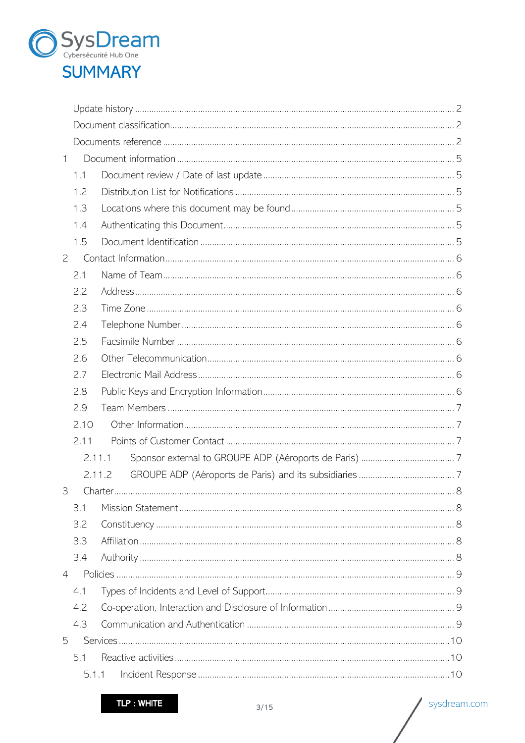

| 1              |        |  |
|----------------|--------|--|
|                | 1.1    |  |
|                | 1.2    |  |
|                | 1.3    |  |
|                | 1.4    |  |
|                | 1.5    |  |
| $\overline{2}$ |        |  |
|                | 2.1    |  |
|                | 2.2    |  |
|                | 2.3    |  |
|                | 2.4    |  |
|                | 2.5    |  |
|                | 2.6    |  |
|                | 2.7    |  |
|                | 2.8    |  |
|                | 2.9    |  |
|                | 2.10   |  |
|                | 2.11   |  |
|                | 2.11.1 |  |
|                | 2.11.2 |  |
| 3              |        |  |
|                | 3.1    |  |
|                | 3.2    |  |
|                | 3.3    |  |
|                | 3.4    |  |
| $\overline{4}$ |        |  |
|                | 4.1    |  |
|                | 4.2    |  |
|                | 4.3    |  |
| 5              |        |  |
|                | 5.1    |  |
|                | 5.1.1  |  |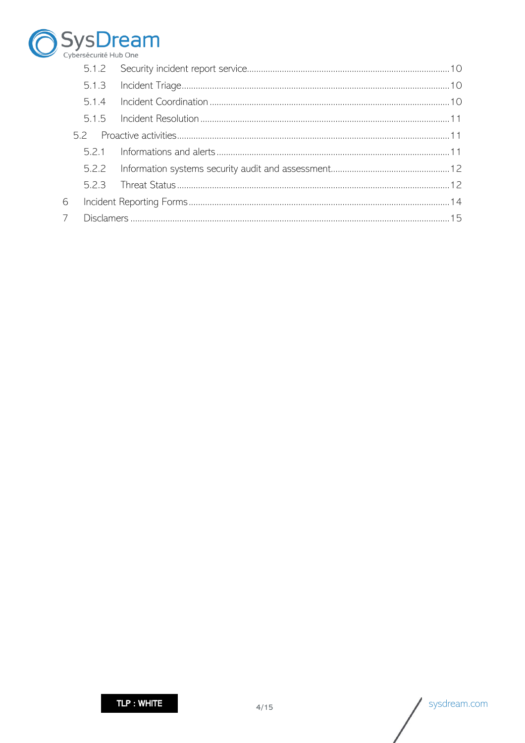

|   | 5.1.2 |  |
|---|-------|--|
|   |       |  |
|   | 5.1.4 |  |
|   |       |  |
|   |       |  |
|   |       |  |
|   |       |  |
|   | 523   |  |
|   |       |  |
| 7 |       |  |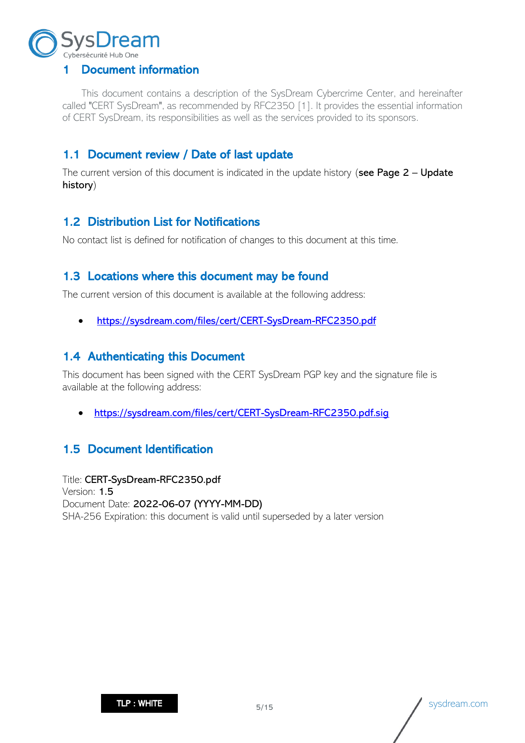

## <span id="page-4-0"></span>1 Document information

This document contains a description of the SysDream Cybercrime Center, and hereinafter called "CERT SysDream", as recommended by RFC2350 [1]. It provides the essential information of CERT SysDream, its responsibilities as well as the services provided to its sponsors.

## <span id="page-4-1"></span>1.1 Document review / Date of last update

The current version of this document is indicated in the update history (see Page  $2$  – Update history)

## <span id="page-4-2"></span>1.2 Distribution List for Notifications

No contact list is defined for notification of changes to this document at this time.

## <span id="page-4-3"></span>1.3 Locations where this document may be found

The current version of this document is available at the following address:

• [https://sysdream.com/files/cert/CERT-SysDream-RFC2350.pdf](https://sysdream.com/files/cert/CERT-SysDream-RFC2350-1.2.pdf)

## <span id="page-4-4"></span>1.4 Authenticating this Document

This document has been signed with the CERT SysDream PGP key and the signature file is available at the following address:

• [https://sysdream.com/files/cert/CERT-SysDream-RFC2350.pdf.sig](https://sysdream.com/files/cert/CERT-SysDream-RFC2350-1.2.pdf.sig)

## <span id="page-4-5"></span>1.5 Document Identification

Title: CERT-SysDream-RFC2350.pdf Version: 1.5 Document Date: 2022-06-07 (YYYY-MM-DD) SHA-256 Expiration: this document is valid until superseded by a later version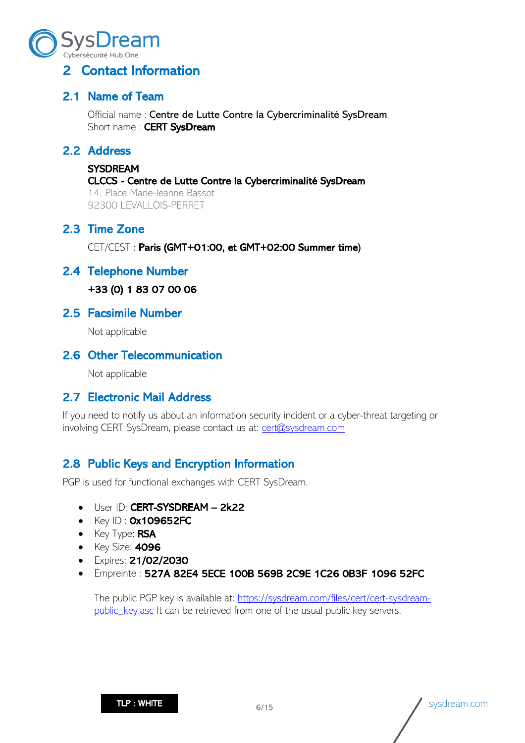

## <span id="page-5-0"></span>2 Contact Information

## <span id="page-5-1"></span>2.1 Name of Team

Official name : Centre de Lutte Contre la Cybercriminalité SysDream Short name: CERT SysDream

## <span id="page-5-2"></span>2.2 Address

#### **SYSDREAM**

#### CLCCS - Centre de Lutte Contre la Cybercriminalité SysDream

14, Place Marie-Jeanne Bassot 92300 LEVALLOIS-PERRET

## <span id="page-5-3"></span>2.3 Time Zone

CET/CEST : Paris (GMT+01:00, et GMT+02:00 Summer time)

### <span id="page-5-4"></span>2.4 Telephone Number

+33 (0) 1 83 07 00 06

#### <span id="page-5-5"></span>2.5 Facsimile Number

Not applicable

### <span id="page-5-6"></span>2.6 Other Telecommunication

Not applicable

### <span id="page-5-7"></span>2.7 Electronic Mail Address

If you need to notify us about an information security incident or a cyber-threat targeting or involving CERT SysDream, please contact us at: [cert@sysdream.com](mailto:cert@sysdream.com)

## <span id="page-5-8"></span>2.8 Public Keys and Encryption Information

PGP is used for functional exchanges with CERT SysDream.

- User ID: CERT-SYSDREAM 2k22
- $\bullet$  Key ID :  $Ox1O9652FC$
- Key Type: RSA
- Key Size: **4096**
- Expires: 21/02/2030
- Empreinte : 527A 82E4 5ECE 100B 569B 2C9E 1C26 0B3F 1096 52FC

The public PGP key is available at: [https://sysdream.com/files/cert/cert-sysdream](https://sysdream.com/files/cert/cert-sysdream-public_key.asc)[public\\_key.asc](https://sysdream.com/files/cert/cert-sysdream-public_key.asc) It can be retrieved from one of the usual public key servers.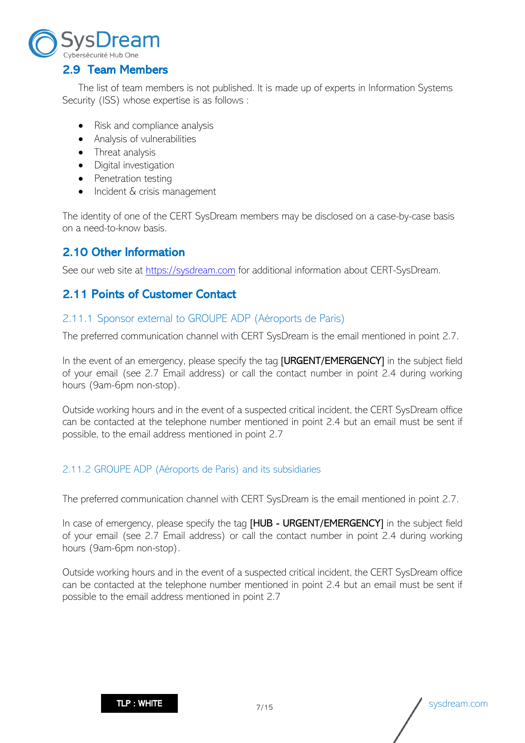

## <span id="page-6-0"></span>2.9 Team Members

The list of team members is not published. It is made up of experts in Information Systems Security (ISS) whose expertise is as follows :

- Risk and compliance analysis
- Analysis of vulnerabilities
- Threat analysis
- Digital investigation
- Penetration testing
- Incident & crisis management

The identity of one of the CERT SysDream members may be disclosed on a case-by-case basis on a need-to-know basis.

## <span id="page-6-1"></span>2.10 Other Information

See our web site at [https://sysdream.com](https://sysdream.com/) for additional information about CERT-SysDream.

## <span id="page-6-2"></span>2.11 Points of Customer Contact

#### <span id="page-6-3"></span>2.11.1 Sponsor external to GROUPE ADP (Aéroports de Paris)

The preferred communication channel with CERT SysDream is the email mentioned in point 2.7.

In the event of an emergency, please specify the tag **[URGENT/EMERGENCY]** in the subject field of your email (see 2.7 Email address) or call the contact number in point 2.4 during working hours (9am-6pm non-stop).

Outside working hours and in the event of a suspected critical incident, the CERT SysDream office can be contacted at the telephone number mentioned in point 2.4 but an email must be sent if possible, to the email address mentioned in point 2.7

#### <span id="page-6-4"></span>2.11.2 GROUPE ADP (Aéroports de Paris) and its subsidiaries

The preferred communication channel with CERT SysDream is the email mentioned in point 2.7.

In case of emergency, please specify the tag [HUB - URGENT/EMERGENCY] in the subject field of your email (see 2.7 Email address) or call the contact number in point 2.4 during working hours (9am-6pm non-stop).

Outside working hours and in the event of a suspected critical incident, the CERT SysDream office can be contacted at the telephone number mentioned in point 2.4 but an email must be sent if possible to the email address mentioned in point 2.7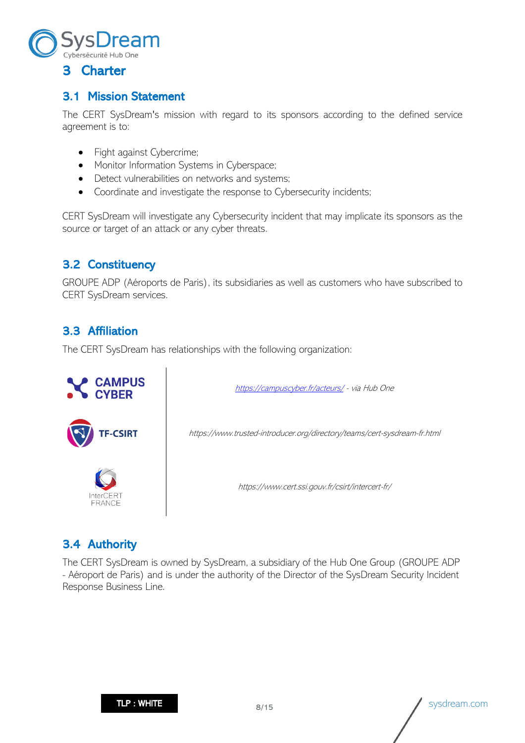

## <span id="page-7-1"></span><span id="page-7-0"></span>3.1 Mission Statement

The CERT SysDream's mission with regard to its sponsors according to the defined service agreement is to:

- Fight against Cybercrime;
- Monitor Information Systems in Cyberspace;
- Detect vulnerabilities on networks and systems;
- Coordinate and investigate the response to Cybersecurity incidents;

CERT SysDream will investigate any Cybersecurity incident that may implicate its sponsors as the source or target of an attack or any cyber threats.

## <span id="page-7-2"></span>3.2 Constituency

GROUPE ADP (Aéroports de Paris), its subsidiaries as well as customers who have subscribed to CERT SysDream services.

## <span id="page-7-3"></span>3.3 Affiliation

The CERT SysDream has relationships with the following organization:



## <span id="page-7-4"></span>3.4 Authority

The CERT SysDream is owned by SysDream, a subsidiary of the Hub One Group (GROUPE ADP - Aéroport de Paris) and is under the authority of the Director of the SysDream Security Incident Response Business Line.

**TLP : WHITE**  $\begin{matrix}8/15\end{matrix}$  sysdream.com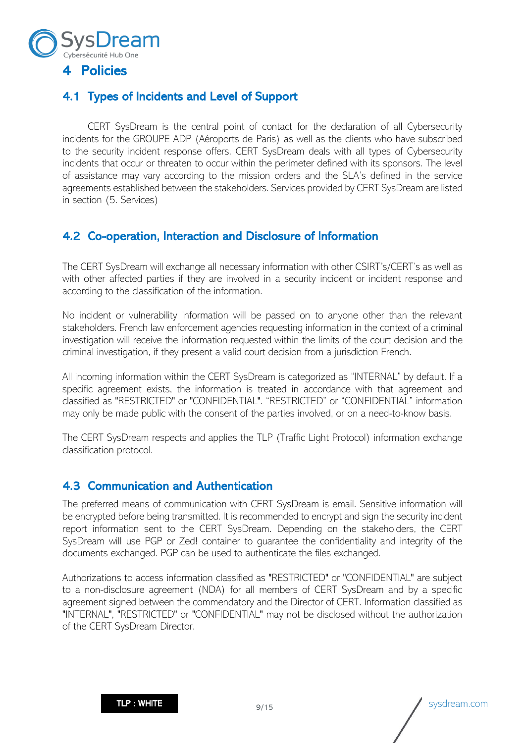

## <span id="page-8-1"></span><span id="page-8-0"></span>4.1 Types of Incidents and Level of Support

CERT SysDream is the central point of contact for the declaration of all Cybersecurity incidents for the GROUPE ADP (Aéroports de Paris) as well as the clients who have subscribed to the security incident response offers. CERT SysDream deals with all types of Cybersecurity incidents that occur or threaten to occur within the perimeter defined with its sponsors. The level of assistance may vary according to the mission orders and the SLA's defined in the service agreements established between the stakeholders. Services provided by CERT SysDream are listed in section (5. Services)

## <span id="page-8-2"></span>4.2 Co-operation, Interaction and Disclosure of Information

The CERT SysDream will exchange all necessary information with other CSIRT's/CERT's as well as with other affected parties if they are involved in a security incident or incident response and according to the classification of the information.

No incident or vulnerability information will be passed on to anyone other than the relevant stakeholders. French law enforcement agencies requesting information in the context of a criminal investigation will receive the information requested within the limits of the court decision and the criminal investigation, if they present a valid court decision from a jurisdiction French.

All incoming information within the CERT SysDream is categorized as "INTERNAL" by default. If a specific agreement exists, the information is treated in accordance with that agreement and classified as "RESTRICTED" or "CONFIDENTIAL". "RESTRICTED" or "CONFIDENTIAL" information may only be made public with the consent of the parties involved, or on a need-to-know basis.

The CERT SysDream respects and applies the TLP (Traffic Light Protocol) information exchange classification protocol.

### <span id="page-8-3"></span>4.3 Communication and Authentication

The preferred means of communication with CERT SysDream is email. Sensitive information will be encrypted before being transmitted. It is recommended to encrypt and sign the security incident report information sent to the CERT SysDream. Depending on the stakeholders, the CERT SysDream will use PGP or Zed! container to guarantee the confidentiality and integrity of the documents exchanged. PGP can be used to authenticate the files exchanged.

Authorizations to access information classified as "RESTRICTED" or "CONFIDENTIAL" are subject to a non-disclosure agreement (NDA) for all members of CERT SysDream and by a specific agreement signed between the commendatory and the Director of CERT. Information classified as "INTERNAL", "RESTRICTED" or "CONFIDENTIAL" may not be disclosed without the authorization of the CERT SysDream Director.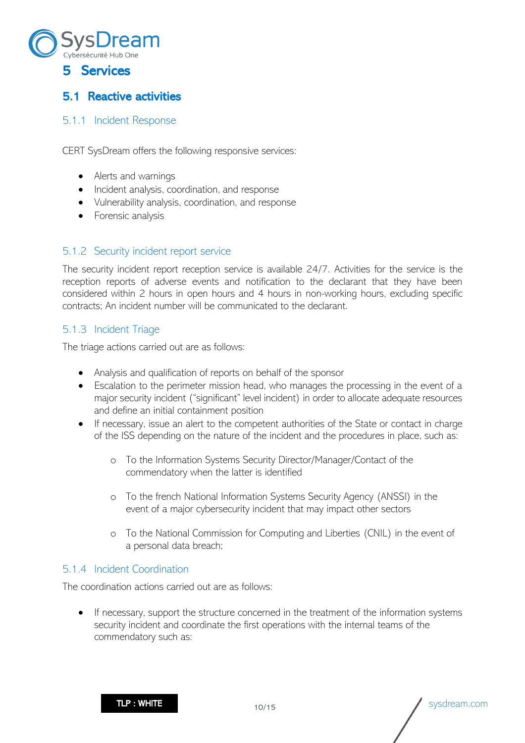

# <span id="page-9-1"></span><span id="page-9-0"></span>5.1 Reactive activities

#### <span id="page-9-2"></span>5.1.1 Incident Response

CERT SysDream offers the following responsive services:

- Alerts and warnings
- Incident analysis, coordination, and response
- Vulnerability analysis, coordination, and response
- Forensic analysis

#### <span id="page-9-3"></span>5.1.2 Security incident report service

The security incident report reception service is available 24/7. Activities for the service is the reception reports of adverse events and notification to the declarant that they have been considered within 2 hours in open hours and 4 hours in non-working hours, excluding specific contracts; An incident number will be communicated to the declarant.

#### <span id="page-9-4"></span>5.1.3 Incident Triage

The triage actions carried out are as follows:

- Analysis and qualification of reports on behalf of the sponsor
- Escalation to the perimeter mission head, who manages the processing in the event of a major security incident ("significant" level incident) in order to allocate adequate resources and define an initial containment position
- If necessary, issue an alert to the competent authorities of the State or contact in charge of the ISS depending on the nature of the incident and the procedures in place, such as:
	- o To the Information Systems Security Director/Manager/Contact of the commendatory when the latter is identified
	- o To the french National Information Systems Security Agency (ANSSI) in the event of a major cybersecurity incident that may impact other sectors
	- o To the National Commission for Computing and Liberties (CNIL) in the event of a personal data breach;

#### <span id="page-9-5"></span>5.1.4 Incident Coordination

The coordination actions carried out are as follows:

If necessary, support the structure concerned in the treatment of the information systems security incident and coordinate the first operations with the internal teams of the commendatory such as: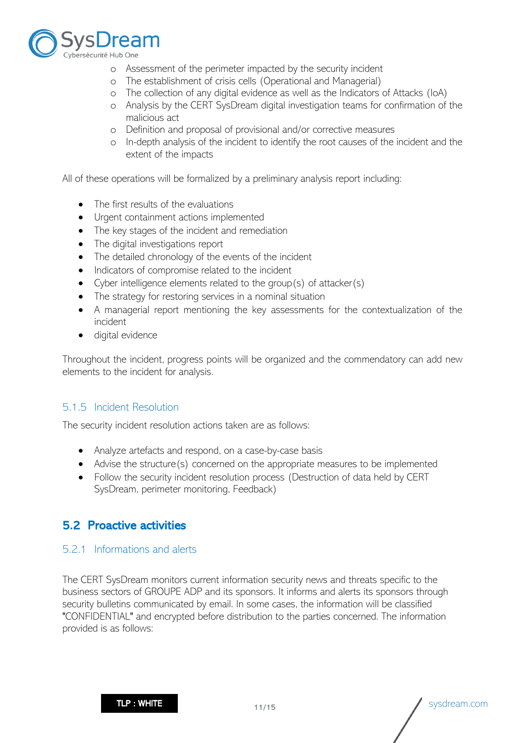

- o Assessment of the perimeter impacted by the security incident
- o The establishment of crisis cells (Operational and Managerial)
- o The collection of any digital evidence as well as the Indicators of Attacks (IoA)
- o Analysis by the CERT SysDream digital investigation teams for confirmation of the malicious act
- o Definition and proposal of provisional and/or corrective measures
- o In-depth analysis of the incident to identify the root causes of the incident and the extent of the impacts

All of these operations will be formalized by a preliminary analysis report including:

- The first results of the evaluations
- Urgent containment actions implemented
- The key stages of the incident and remediation
- The digital investigations report
- The detailed chronology of the events of the incident
- Indicators of compromise related to the incident
- Cyber intelligence elements related to the group(s) of attacker(s)
- The strategy for restoring services in a nominal situation
- A managerial report mentioning the key assessments for the contextualization of the incident
- digital evidence

Throughout the incident, progress points will be organized and the commendatory can add new elements to the incident for analysis.

#### <span id="page-10-0"></span>5.1.5 Incident Resolution

The security incident resolution actions taken are as follows:

- Analyze artefacts and respond, on a case-by-case basis
- Advise the structure(s) concerned on the appropriate measures to be implemented
- Follow the security incident resolution process (Destruction of data held by CERT SysDream, perimeter monitoring, Feedback)

## <span id="page-10-1"></span>5.2 Proactive activities

#### <span id="page-10-2"></span>5.2.1 Informations and alerts

The CERT SysDream monitors current information security news and threats specific to the business sectors of GROUPE ADP and its sponsors. It informs and alerts its sponsors through security bulletins communicated by email. In some cases, the information will be classified "CONFIDENTIAL" and encrypted before distribution to the parties concerned. The information provided is as follows: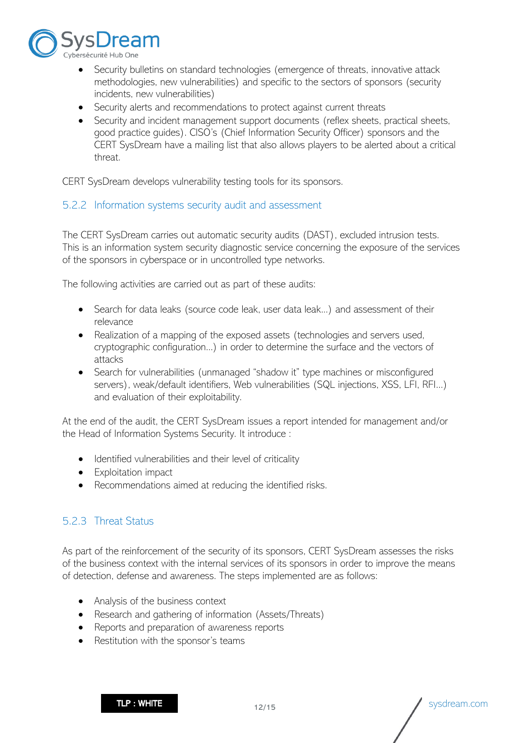

- Security bulletins on standard technologies (emergence of threats, innovative attack methodologies, new vulnerabilities) and specific to the sectors of sponsors (security incidents, new vulnerabilities)
- Security alerts and recommendations to protect against current threats
- Security and incident management support documents (reflex sheets, practical sheets, good practice guides). CISO's (Chief Information Security Officer) sponsors and the CERT SysDream have a mailing list that also allows players to be alerted about a critical threat.

CERT SysDream develops vulnerability testing tools for its sponsors.

#### <span id="page-11-0"></span>5.2.2 Information systems security audit and assessment

The CERT SysDream carries out automatic security audits (DAST), excluded intrusion tests. This is an information system security diagnostic service concerning the exposure of the services of the sponsors in cyberspace or in uncontrolled type networks.

The following activities are carried out as part of these audits:

- Search for data leaks (source code leak, user data leak...) and assessment of their relevance
- Realization of a mapping of the exposed assets (technologies and servers used, cryptographic configuration...) in order to determine the surface and the vectors of attacks
- Search for vulnerabilities (unmanaged "shadow it" type machines or misconfigured servers), weak/default identifiers, Web vulnerabilities (SQL injections, XSS, LFI, RFI...) and evaluation of their exploitability.

At the end of the audit, the CERT SysDream issues a report intended for management and/or the Head of Information Systems Security. It introduce :

- Identified vulnerabilities and their level of criticality
- Exploitation impact
- Recommendations aimed at reducing the identified risks.

#### <span id="page-11-1"></span>5.2.3 Threat Status

As part of the reinforcement of the security of its sponsors, CERT SysDream assesses the risks of the business context with the internal services of its sponsors in order to improve the means of detection, defense and awareness. The steps implemented are as follows:

- Analysis of the business context
- Research and gathering of information (Assets/Threats)
- Reports and preparation of awareness reports
- Restitution with the sponsor's teams

 $\mathsf{TLP} : \mathsf{WHITE}$  12/15  $\sqrt{\text{sys}$  sysdream.com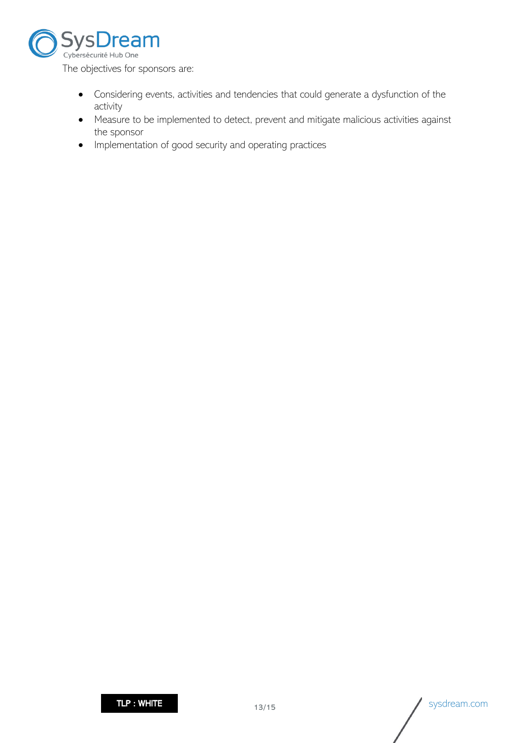

The objectives for sponsors are:

- Considering events, activities and tendencies that could generate a dysfunction of the activity
- Measure to be implemented to detect, prevent and mitigate malicious activities against the sponsor
- Implementation of good security and operating practices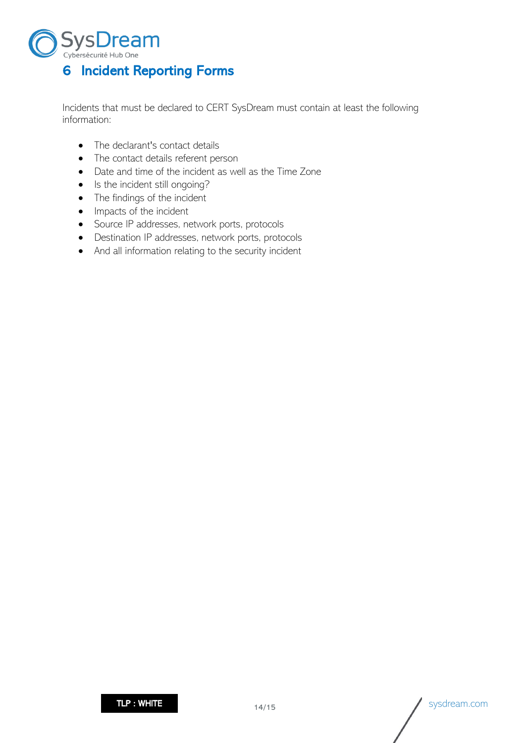

<span id="page-13-0"></span>Incidents that must be declared to CERT SysDream must contain at least the following information:

- The declarant's contact details
- The contact details referent person
- Date and time of the incident as well as the Time Zone
- Is the incident still ongoing?
- The findings of the incident
- Impacts of the incident
- Source IP addresses, network ports, protocols
- Destination IP addresses, network ports, protocols
- And all information relating to the security incident